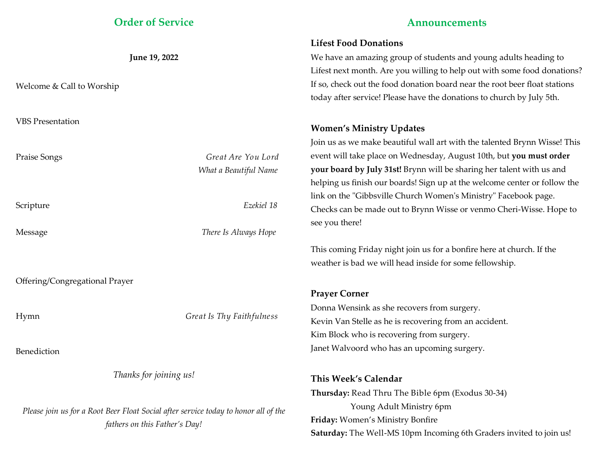# **Order of Service**

|                                                                                     |                           | Lifest Food Donations          |
|-------------------------------------------------------------------------------------|---------------------------|--------------------------------|
| June 19, 2022                                                                       |                           | We have an amazing group       |
|                                                                                     |                           | Lifest next month. Are you v   |
| Welcome & Call to Worship                                                           |                           | If so, check out the food don  |
|                                                                                     |                           | today after service! Please ha |
| <b>VBS</b> Presentation                                                             |                           | <b>Women's Ministry Updat</b>  |
|                                                                                     |                           | Join us as we make beautiful   |
| Praise Songs                                                                        | Great Are You Lord        | event will take place on Wed   |
|                                                                                     | What a Beautiful Name     | your board by July 31st! Bry   |
|                                                                                     |                           | helping us finish our boards   |
|                                                                                     |                           | link on the "Gibbsville Churo  |
| Scripture                                                                           | Ezekiel 18                | Checks can be made out to B    |
|                                                                                     |                           | see you there!                 |
| Message                                                                             | There Is Always Hope      |                                |
|                                                                                     |                           | This coming Friday night joi   |
|                                                                                     |                           | weather is bad we will head    |
| Offering/Congregational Prayer                                                      |                           |                                |
|                                                                                     |                           | <b>Prayer Corner</b>           |
| Hymn                                                                                | Great Is Thy Faithfulness | Donna Wensink as she recov     |
|                                                                                     |                           | Kevin Van Stelle as he is reco |
|                                                                                     |                           | Kim Block who is recovering    |
| Benediction                                                                         |                           | Janet Walvoord who has an      |
| Thanks for joining us!                                                              |                           | This Week's Calendar           |
|                                                                                     |                           | Thursday: Read Thru The B      |
|                                                                                     |                           | Young Adult Min                |
| Please join us for a Root Beer Float Social after service today to honor all of the |                           |                                |

*fathers on this Father's Day!*

# **Announcements**

# **Lifest Food Donations**

of students and young adults heading to villing to help out with some food donations? ation board near the root beer float stations ave the donations to church by July 5th.

# **Women's Ministry Updates**

wall art with the talented Brynn Wisse! This Inesday, August 10th, but you must order *r* on will be sharing her talent with us and Sign up at the welcome center or follow the ch Women's Ministry" Facebook page. Brynn Wisse or venmo Cheri-Wisse. Hope to

In us for a bonfire here at church. If the inside for some fellowship.

vers from surgery. overing from an accident. ; from surgery. upcoming surgery.

Fible 6pm (Exodus 30-34) istry 6pm **Friday:** Women's Ministry Bonfire **Saturday:** The Well-MS 10pm Incoming 6th Graders invited to join us!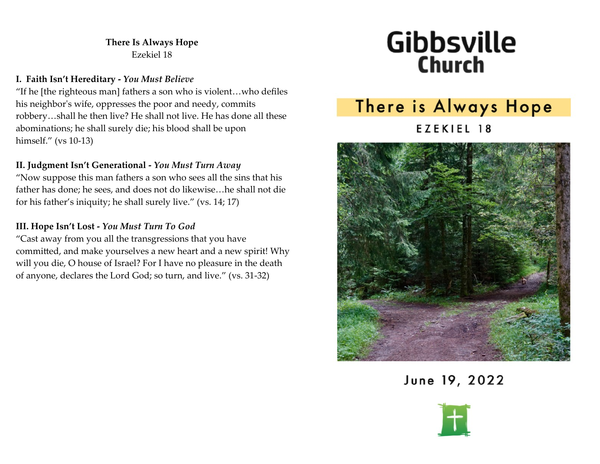# **There Is Always Hope** Ezekiel 18

### **I. Faith Isn't Hereditary -** *You Must Believe*

"If he [the righteous man] fathers a son who is violent…who defiles his neighbor's wife, oppresses the poor and needy, commits robbery…shall he then live? He shall not live. He has done all these abominations; he shall surely die; his blood shall be upon himself." (vs 10-13)

# **II. Judgment Isn't Generational -** *You Must Turn Away*

"Now suppose this man fathers a son who sees all the sins that his father has done; he sees, and does not do likewise…he shall not die for his father's iniquity; he shall surely live." (vs. 14; 17)

## **III. Hope Isn't Lost -** *You Must Turn To God*

"Cast away from you all the transgressions that you have committed, and make yourselves a new heart and a new spirit! Why will you die, O house of Israel? For I have no pleasure in the death of anyone, declares the Lord God; so turn, and live." (vs. 31-32)

# **Gibbsville Church**

# There is Always Hope EZEKIEL 18



June 19, 2022

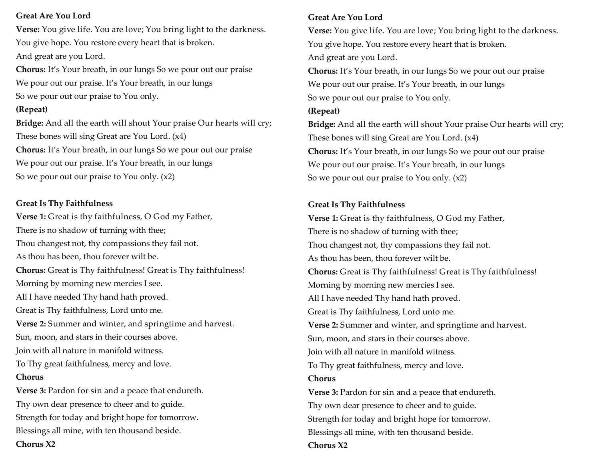### **Great Are You Lord**

**Verse:** You give life. You are love; You bring light to the darkness. You give hope. You restore every heart that is broken. And great are you Lord.

**Chorus:** It's Your breath, in our lungs So we pour out our praise We pour out our praise. It's Your breath, in our lungs So we pour out our praise to You only.

### **(Repeat)**

**Bridge:** And all the earth will shout Your praise Our hearts will cry; These bones will sing Great are You Lord. (x4) **Chorus:** It's Your breath, in our lungs So we pour out our praise We pour out our praise. It's Your breath, in our lungs So we pour out our praise to You only. (x2)

### **Great Is Thy Faithfulness**

**Verse 1:** Great is thy faithfulness, O God my Father, There is no shadow of turning with thee; Thou changest not, thy compassions they fail not. As thou has been, thou forever wilt be. **Chorus:** Great is Thy faithfulness! Great is Thy faithfulness! Morning by morning new mercies I see. All I have needed Thy hand hath proved. Great is Thy faithfulness, Lord unto me. **Verse 2:** Summer and winter, and springtime and harvest. Sun, moon, and stars in their courses above. Join with all nature in manifold witness. To Thy great faithfulness, mercy and love. **Chorus Verse 3:** Pardon for sin and a peace that endureth. Thy own dear presence to cheer and to guide.

Strength for today and bright hope for tomorrow. Blessings all mine, with ten thousand beside.

**Chorus X2**

### **Great Are You Lord**

**Verse:** You give life. You are love; You bring light to the darkness. You give hope. You restore every heart that is broken. And great are you Lord. **Chorus:** It's Your breath, in our lungs So we pour out our praise We pour out our praise. It's Your breath, in our lungs So we pour out our praise to You only. **(Repeat) Bridge:** And all the earth will shout Your praise Our hearts will cry; These bones will sing Great are You Lord. (x4) **Chorus:** It's Your breath, in our lungs So we pour out our praise We pour out our praise. It's Your breath, in our lungs So we pour out our praise to You only. (x2)

### **Great Is Thy Faithfulness**

**Verse 1:** Great is thy faithfulness, O God my Father, There is no shadow of turning with thee; Thou changest not, thy compassions they fail not. As thou has been, thou forever wilt be. **Chorus:** Great is Thy faithfulness! Great is Thy faithfulness! Morning by morning new mercies I see. All I have needed Thy hand hath proved. Great is Thy faithfulness, Lord unto me. **Verse 2:** Summer and winter, and springtime and harvest. Sun, moon, and stars in their courses above. Join with all nature in manifold witness. To Thy great faithfulness, mercy and love. **Chorus Verse 3:** Pardon for sin and a peace that endureth. Thy own dear presence to cheer and to guide. Strength for today and bright hope for tomorrow. Blessings all mine, with ten thousand beside.

### **Chorus X2**